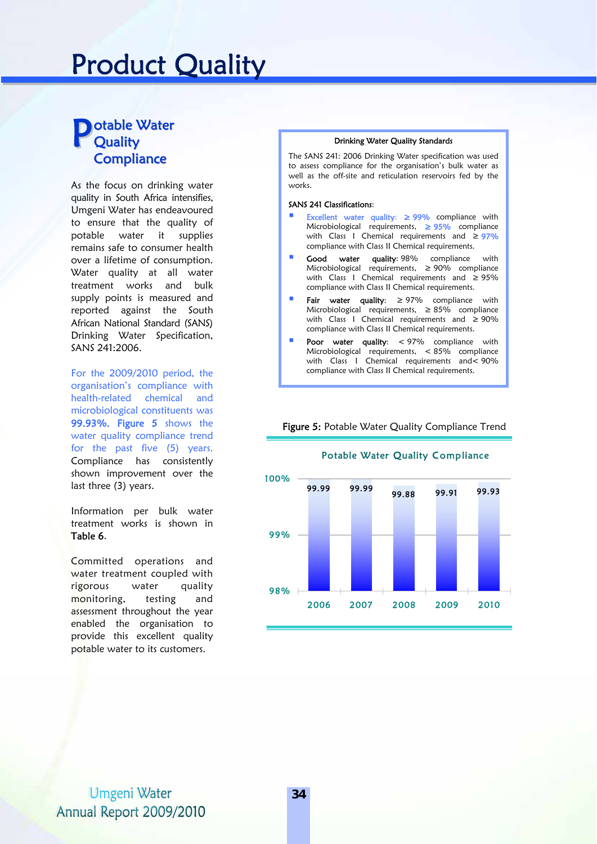# Product Quality

#### **D** otable Water **Quality Compliance** Potable Water<br>Quality Brinking Water Quality Standards

As the focus on drinking water quality in South Africa intensifies, Umgeni Water has endeavoured to ensure that the quality of potable water it supplies remains safe to consumer health over a lifetime of consumption. Water quality at all water treatment works and bulk supply points is measured and reported against the South African National Standard (SANS) Drinking Water Specification, SANS 241:2006.

For the 2009/2010 period, the organisation's compliance with health-related chemical and microbiological constituents was 99.93%. Figure 5 shows the water quality compliance trend for the past five (5) years. Compliance has consistently shown improvement over the last three (3) years.

Information per bulk water treatment works is shown in Table 6.

Committed operations and water treatment coupled with rigorous water quality monitoring, testing and assessment throughout the year enabled the organisation to provide this excellent quality potable water to its customers.

The SANS 241: 2006 Drinking Water specification was used to assess compliance for the organisation's bulk water as well as the off-site and reticulation reservoirs fed by the works.

#### SANS 241 Classifications:

- Excellent water quality: ≥ 99% compliance with Microbiological requirements, ≥ 95% compliance with Class I Chemical requirements and  $\geq$  97% compliance with Class II Chemical requirements.
- **Good water quality: 98%** compliance with Microbiological requirements, ≥ 90% compliance with Class I Chemical requirements and ≥ 95% compliance with Class II Chemical requirements.
- Fair water quality: ≥ 97% compliance with Microbiological requirements, ≥ 85% compliance with Class I Chemical requirements and ≥ 90% compliance with Class II Chemical requirements.
- Poor water quality: < 97% compliance with Microbiological requirements, < 85% compliance with Class I Chemical requirements and < 90% compliance with Class II Chemical requirements.

Figure 5: Potable Water Quality Compliance Trend



#### Potable Water Quality Compliance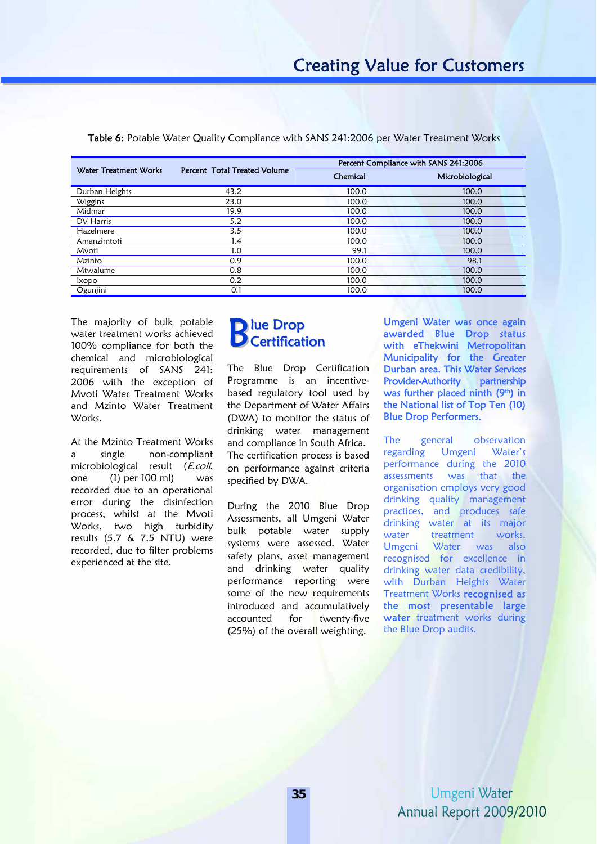|                       | Percent Total Treated Volume | Percent Compliance with SANS 241:2006 |                 |
|-----------------------|------------------------------|---------------------------------------|-----------------|
| Water Treatment Works |                              | Chemical                              | Microbiological |
| Durban Heights        | 43.2                         | 100.0                                 | 100.0           |
| Wiggins               | 23.0                         | 100.0                                 | 100.0           |
| Midmar                | 19.9                         | 100.0                                 | 100.0           |
| DV Harris             | 5.2                          | 100.0                                 | 100.0           |
| Hazelmere             | 3.5                          | 100.0                                 | 100.0           |
| Amanzimtoti           | 1.4                          | 100.0                                 | 100.0           |
| Mvoti                 | 1.0                          | 99.1                                  | 100.0           |
| Mzinto                | 0.9                          | 100.0                                 | 98.1            |
| Mtwalume              | 0.8                          | 100.0                                 | 100.0           |
| <i>kopo</i>           | 0.2                          | 100.0                                 | 100.0           |
| Ogunjini              | 0.1                          | 100.0                                 | 100.0           |
|                       |                              |                                       |                 |

Table 6: Potable Water Quality Compliance with SANS 241:2006 per Water Treatment Works

The majority of bulk potable water treatment works achieved 100% compliance for both the chemical and microbiological requirements of SANS 241: 2006 with the exception of Mvoti Water Treatment Works and Mzinto Water Treatment Works.

At the Mzinto Treatment Works a single non-compliant microbiological result (E.coli, one (1) per 100 ml) was recorded due to an operational error during the disinfection process, whilst at the Mvoti Works, two high turbidity results (5.7 & 7.5 NTU) were recorded, due to filter problems experienced at the site.

## lue Drop **D**<br> **D** Certification

The Blue Drop Certification Programme is an incentivebased regulatory tool used by the Department of Water Affairs (DWA) to monitor the status of drinking water management and compliance in South Africa. The certification process is based on performance against criteria specified by DWA.

During the 2010 Blue Drop Assessments, all Umgeni Water bulk potable water supply systems were assessed. Water safety plans, asset management and drinking water quality performance reporting were some of the new requirements introduced and accumulatively accounted for twenty-five (25%) of the overall weighting.

Umgeni Water was once again awarded Blue Drop status with eThekwini Metropolitan Municipality for the Greater Durban area. This Water Services Provider-Authority partnership was further placed ninth (9th) in the National list of Top Ten (10) Blue Drop Performers.

The general observation regarding Umgeni Water's performance during the 2010 assessments was that the organisation employs very good drinking quality management practices, and produces safe drinking water at its major water treatment works. Umgeni Water was also recognised for excellence in drinking water data credibility, with Durban Heights Water Treatment Works recognised as the most presentable large water treatment works during the Blue Drop audits.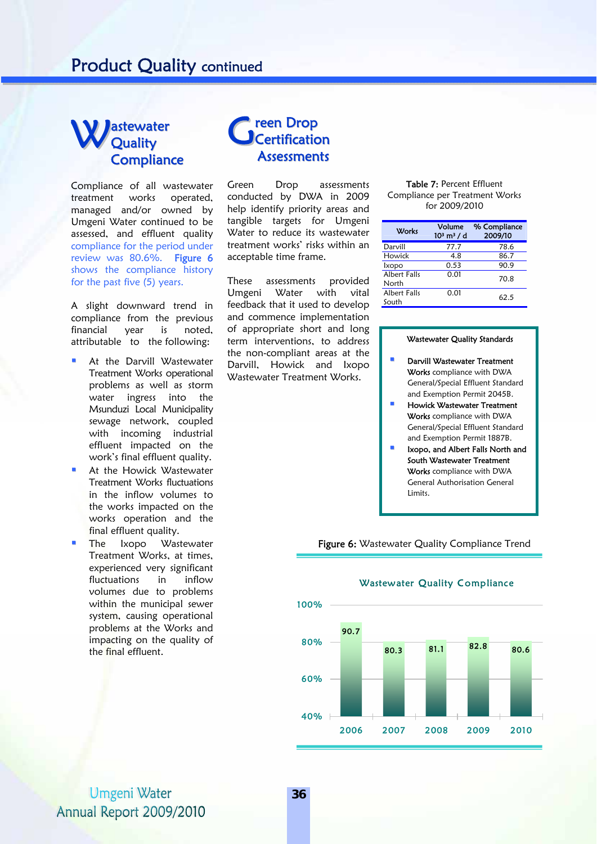## Product Quality continued

#### astewater **Quality Compliance** Wastewater Gre

Compliance of all wastewater treatment works operated, managed and/or owned by Umgeni Water continued to be assessed, and effluent quality compliance for the period under review was 80.6%. Figure 6 shows the compliance history for the past five (5) years.

A slight downward trend in compliance from the previous financial year is noted, attributable to the following:

- At the Darvill Wastewater Treatment Works operational problems as well as storm water ingress into the Msunduzi Local Municipality sewage network, coupled with incoming industrial effluent impacted on the work's final effluent quality.
- At the Howick Wastewater Treatment Works fluctuations in the inflow volumes to the works impacted on the works operation and the final effluent quality.
- The Ixopo Wastewater Treatment Works, at times, experienced very significant fluctuations in inflow volumes due to problems within the municipal sewer system, causing operational problems at the Works and impacting on the quality of the final effluent.

### reen Drop Certification **Assessments**

Green Drop assessments conducted by DWA in 2009 help identify priority areas and tangible targets for Umgeni Water to reduce its wastewater treatment works' risks within an acceptable time frame.

These assessments provided Umgeni Water with vital feedback that it used to develop and commence implementation of appropriate short and long term interventions, to address the non-compliant areas at the Darvill, Howick and Ixopo Wastewater Treatment Works.

Table 7: Percent Effluent Compliance per Treatment Works for 2009/2010

| <b>Works</b>                 | Volume<br>$103$ m <sup>3</sup> / d | % Compliance<br>2009/10 |
|------------------------------|------------------------------------|-------------------------|
| Darvill                      | 77.7                               | 78.6                    |
| Howick                       | 4.8                                | 86.7                    |
| <b>Ixopo</b>                 | 0.53                               | 90.9                    |
| <b>Albert Falls</b><br>North | 0.01                               | 70.8                    |
| Albert Falls<br>South        | 0.01                               | 62.5                    |

#### Wastewater Quality Standards

- Darvill Wastewater Treatment Works compliance with DWA General/Special Effluent Standard and Exemption Permit 2045B.
- Howick Wastewater Treatment Works compliance with DWA General/Special Effluent Standard and Exemption Permit 1887B.
- Ixopo, and Albert Falls North and South Wastewater Treatment Works compliance with DWA General Authorisation General Limits.

Figure 6: Wastewater Quality Compliance Trend



#### Wastewater Quality Compliance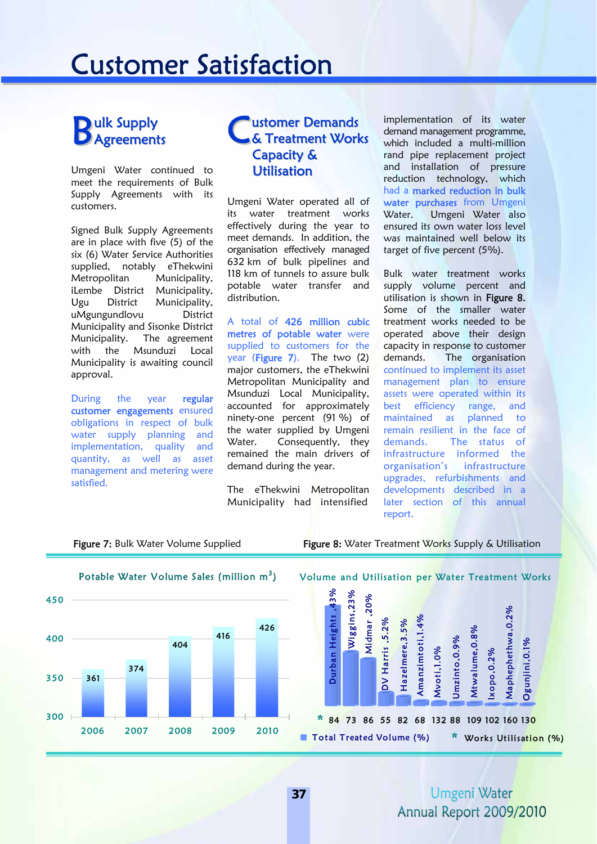## Customer Satisfaction

## **D**ulk Supply **B** ulk Supply<br> **B** Agreements

Umgeni Water continued to meet the requirements of Bulk Supply Agreements with its customers.

Signed Bulk Supply Agreements are in place with five (5) of the six (6) Water Service Authorities supplied, notably eThekwini Metropolitan Municipality, iLembe District Municipality, Ugu District Municipality, uMgungundlovu District Municipality and Sisonke District Municipality. The agreement with the Msunduzi Local Municipality is awaiting council approval.

During the year regular customer engagements ensured obligations in respect of bulk water supply planning and implementation, quality and quantity, as well as asset management and metering were satisfied.

## ustomer Demands **& Treatment Works** Capacity & Utilisation

Umgeni Water operated all of its water treatment works effectively during the year to meet demands. In addition, the organisation effectively managed 632 km of bulk pipelines and 118 km of tunnels to assure bulk potable water transfer and distribution.

A total of 426 million cubic metres of potable water were supplied to customers for the year (Figure 7). The two (2) major customers, the eThekwini Metropolitan Municipality and Msunduzi Local Municipality, accounted for approximately ninety-one percent (91 %) of the water supplied by Umgeni Water. Consequently, they remained the main drivers of demand during the year.

The eThekwini Metropolitan Municipality had intensified

implementation of its water demand management programme, which included a multi-million rand pipe replacement project and installation of pressure reduction technology, which had a marked reduction in bulk water purchases from Umgeni Water. Umgeni Water also ensured its own water loss level was maintained well below its target of five percent (5%).

Bulk water treatment works supply volume percent and utilisation is shown in Figure 8. Some of the smaller water treatment works needed to be operated above their design capacity in response to customer demands. The organisation continued to implement its asset management plan to ensure assets were operated within its best efficiency range, and<br>maintained as planned to maintained as planned to remain resilient in the face of demands. The status of infrastructure informed the organisation's infrastructure upgrades, refurbishments and developments described in a later section of this annual report.

Figure 7: Bulk Water Volume Supplied Figure 8: Water Treatment Works Supply & Utilisation

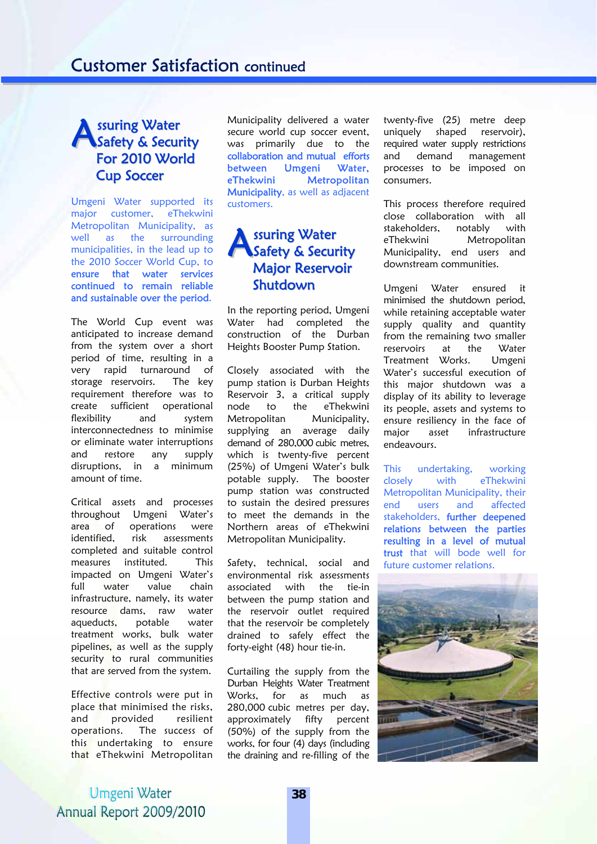## ssuring Water Safety & Security For 2010 World Cup Soccer

Umgeni Water supported its major customer, eThekwini Metropolitan Municipality, as well as the surrounding municipalities, in the lead up to the 2010 Soccer World Cup, to ensure that water services continued to remain reliable and sustainable over the period.

The World Cup event was anticipated to increase demand from the system over a short period of time, resulting in a very rapid turnaround of storage reservoirs. The key requirement therefore was to create sufficient operational flexibility and system interconnectedness to minimise or eliminate water interruptions and restore any supply disruptions, in a minimum amount of time.

Critical assets and processes throughout Umgeni Water's area of operations were identified, risk assessments completed and suitable control measures instituted. This impacted on Umgeni Water's full water value chain infrastructure, namely, its water resource dams, raw water aqueducts, potable water treatment works, bulk water pipelines, as well as the supply security to rural communities that are served from the system.

Effective controls were put in place that minimised the risks, and provided resilient operations. The success of this undertaking to ensure that eThekwini Metropolitan

Municipality delivered a water secure world cup soccer event, was primarily due to the collaboration and mutual efforts between Umgeni Water, eThekwini Metropolitan Municipality, as well as adjacent customers.

## ssuring Water Safety & Security Major Reservoir Shutdown

In the reporting period, Umgeni Water had completed the construction of the Durban Heights Booster Pump Station.

Closely associated with the pump station is Durban Heights Reservoir 3, a critical supply node to the eThekwini Metropolitan Municipality, supplying an average daily demand of 280,000 cubic metres, which is twenty-five percent (25%) of Umgeni Water's bulk potable supply. The booster pump station was constructed to sustain the desired pressures to meet the demands in the Northern areas of eThekwini Metropolitan Municipality.

Safety, technical, social and environmental risk assessments associated with the tie-in between the pump station and the reservoir outlet required that the reservoir be completely drained to safely effect the forty-eight (48) hour tie-in.

Curtailing the supply from the Durban Heights Water Treatment Works, for as much as 280,000 cubic metres per day, approximately fifty percent (50%) of the supply from the works, for four (4) days (including the draining and re-filling of the twenty-five (25) metre deep uniquely shaped reservoir), required water supply restrictions and demand management processes to be imposed on consumers.

This process therefore required close collaboration with all stakeholders, notably with eThekwini Metropolitan Municipality, end users and downstream communities.

Umgeni Water ensured it minimised the shutdown period, while retaining acceptable water supply quality and quantity from the remaining two smaller reservoirs at the Water Treatment Works. Umgeni Water's successful execution of this major shutdown was a display of its ability to leverage its people, assets and systems to ensure resiliency in the face of major asset infrastructure endeavours.

This undertaking, working closely with eThekwini Metropolitan Municipality, their end users and affected stakeholders, further deepened relations between the parties resulting in a level of mutual trust that will bode well for future customer relations.

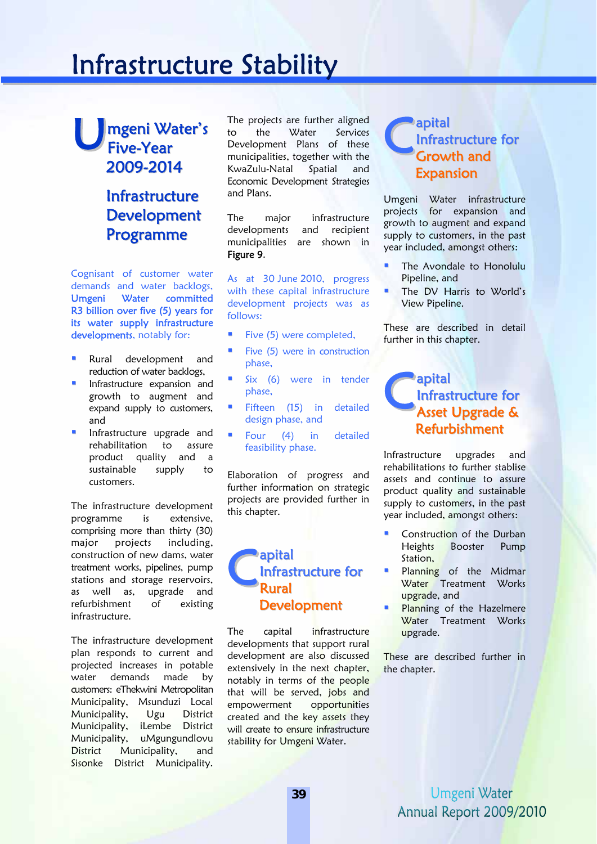# Infrastructure Stability

### mgeni Water's Five-Year 2009-2014 U<sub>Fi</sub>

## Infrastructure **Development** Programme

Cognisant of customer water demands and water backlogs, Umgeni Water committed R3 billion over five (5) years for its water supply infrastructure developments, notably for:

- Rural development and reduction of water backlogs,
- Infrastructure expansion and growth to augment and expand supply to customers, and
- Infrastructure upgrade and rehabilitation to assure product quality and a sustainable supply to customers.

The infrastructure development programme is extensive, comprising more than thirty (30) major projects including, construction of new dams, water treatment works, pipelines, pump stations and storage reservoirs, as well as, upgrade and refurbishment of existing infrastructure.

The infrastructure development plan responds to current and projected increases in potable water demands made by customers: eThekwini Metropolitan Municipality, Msunduzi Local Municipality, Ugu District Municipality, iLembe District Municipality, uMgungundlovu District Municipality, and Sisonke District Municipality.

The projects are further aligned to the Water Services Development Plans of these municipalities, together with the KwaZulu-Natal Spatial and Economic Development Strategies and Plans.

The major infrastructure developments and recipient municipalities are shown in Figure 9.

As at 30 June 2010, progress with these capital infrastructure development projects was as follows:

- Five (5) were completed,
- Five (5) were in construction phase,
- Six (6) were in tender phase,
- Fifteen (15) in detailed design phase, and
- Four (4) in detailed feasibility phase.

Elaboration of progress and further information on strategic projects are provided further in this chapter.

### apital Infrastructure for Rural **Development** C<sub>lni</sub>

The capital infrastructure developments that support rural development are also discussed extensively in the next chapter, notably in terms of the people that will be served, jobs and empowerment opportunities created and the key assets they will create to ensure infrastructure stability for Umgeni Water.

### apital Infrastructure for Growth and Expansion C<sup>ap</sup><br>Gln1

Umgeni Water infrastructure projects for expansion and growth to augment and expand supply to customers, in the past year included, amongst others:

- The Avondale to Honolulu Pipeline, and
- The DV Harris to World's View Pipeline.

These are described in detail further in this chapter.

#### apital Infrastructure for Asset Upgrade & Refurbishment C<sup>ap</sup><br>As

Infrastructure upgrades and rehabilitations to further stablise assets and continue to assure product quality and sustainable supply to customers, in the past year included, amongst others:

- Construction of the Durban Heights Booster Pump Station.
- Planning of the Midmar Water Treatment Works upgrade, and
- Planning of the Hazelmere Water Treatment Works upgrade.

These are described further in the chapter.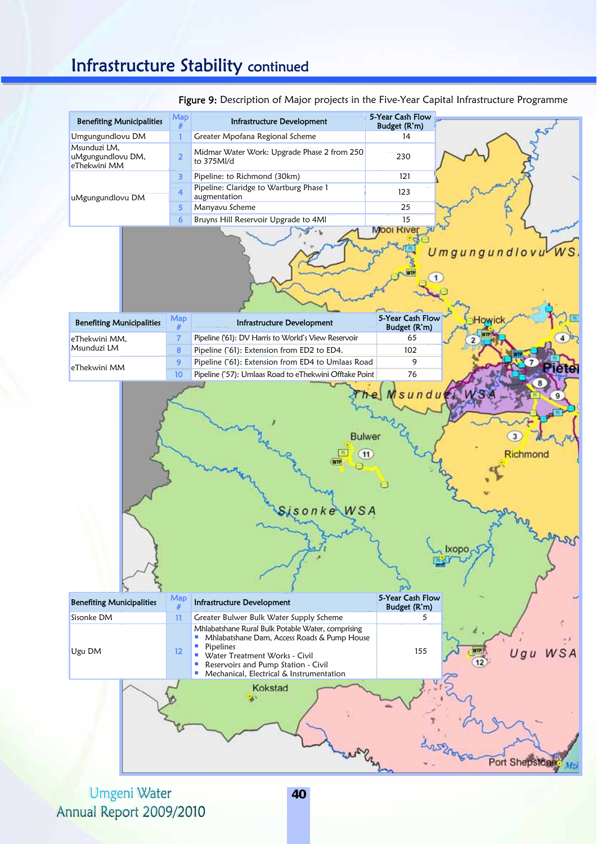## Infrastructure Stability continued

|                                                   | Map                           |                                                                                                                                                                                                                                           | 5-Year Cash Flow                 | <b>rigure 5.</b> Description or major projects in the Five-Tear Capital inhastructure Frogramme |
|---------------------------------------------------|-------------------------------|-------------------------------------------------------------------------------------------------------------------------------------------------------------------------------------------------------------------------------------------|----------------------------------|-------------------------------------------------------------------------------------------------|
| <b>Benefiting Municipalities</b>                  | #                             | Infrastructure Development                                                                                                                                                                                                                | Budget (R'm)                     |                                                                                                 |
| Umgungundlovu DM                                  | $\mathbf{1}$                  | Greater Mpofana Regional Scheme                                                                                                                                                                                                           | 14                               |                                                                                                 |
| Msunduzi LM,<br>uMgungundlovu DM,<br>eThekwini MM | $\overline{2}$                | Midmar Water Work: Upgrade Phase 2 from 250<br>to 375Ml/d                                                                                                                                                                                 | 230                              |                                                                                                 |
|                                                   | 3                             | Pipeline: to Richmond (30km)                                                                                                                                                                                                              | 121                              |                                                                                                 |
| uMgungundlovu DM                                  | $\boldsymbol{4}$              | Pipeline: Claridge to Wartburg Phase 1<br>augmentation                                                                                                                                                                                    | 123                              |                                                                                                 |
|                                                   | 5                             | Manyavu Scheme                                                                                                                                                                                                                            | 25                               |                                                                                                 |
|                                                   | 6                             | Bruyns Hill Reservoir Upgrade to 4Ml                                                                                                                                                                                                      | 15                               |                                                                                                 |
|                                                   |                               |                                                                                                                                                                                                                                           | <b>MOOI RIVE</b>                 | Umgungundlovu                                                                                   |
| <b>Benefiting Municipalities</b>                  | Map                           | Infrastructure Development                                                                                                                                                                                                                | 5-Year Cash Flow<br>Budget (R'm) | Howic                                                                                           |
| eThekwini MM,                                     | $\overline{7}$                | Pipeline ('61): DV Harris to World's View Reservoir                                                                                                                                                                                       | 65                               | 2                                                                                               |
| Msunduzi LM                                       | 8                             | Pipeline ('61): Extension from ED2 to ED4.                                                                                                                                                                                                | 102                              |                                                                                                 |
| eThekwini MM                                      | 9                             | Pipeline ('61): Extension from ED4 to Umlaas Road                                                                                                                                                                                         | 9                                | Pietel                                                                                          |
|                                                   | 10                            | Pipeline ('57): Umlaas Road to eThekwini Offtake Point                                                                                                                                                                                    | 76                               |                                                                                                 |
|                                                   |                               | <b>Bulwer</b><br>onkeWSA                                                                                                                                                                                                                  | 11                               | Richmond<br>Ixopo                                                                               |
| <b>Benefiting Municipalities</b>                  | $\frac{\text{Map}}{\text{#}}$ | Infrastructure Development                                                                                                                                                                                                                | 5-Year Cash Flow<br>Budget (R'm) |                                                                                                 |
| Sisonke DM                                        | 11                            | Greater Bulwer Bulk Water Supply Scheme                                                                                                                                                                                                   | 5                                |                                                                                                 |
| Ugu DM                                            | 12 <sup>2</sup>               | Mhlabatshane Rural Bulk Potable Water, comprising<br>• Mhlabatshane Dam, Access Roads & Pump House<br>• Pipelines<br>• Water Treatment Works - Civil<br>Reservoirs and Pump Station - Civil<br>• Mechanical, Electrical & Instrumentation | 155                              |                                                                                                 |
|                                                   |                               | Kokstad                                                                                                                                                                                                                                   |                                  | Port Shepston                                                                                   |

Figure 9: Description of Major projects in the Five-Year Capital Infrastructure Programme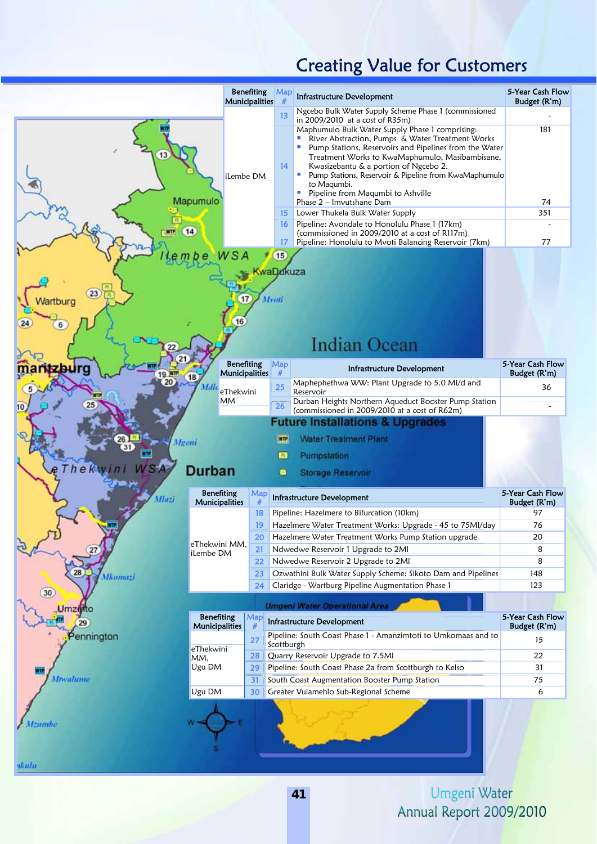## Creating Value for Customers

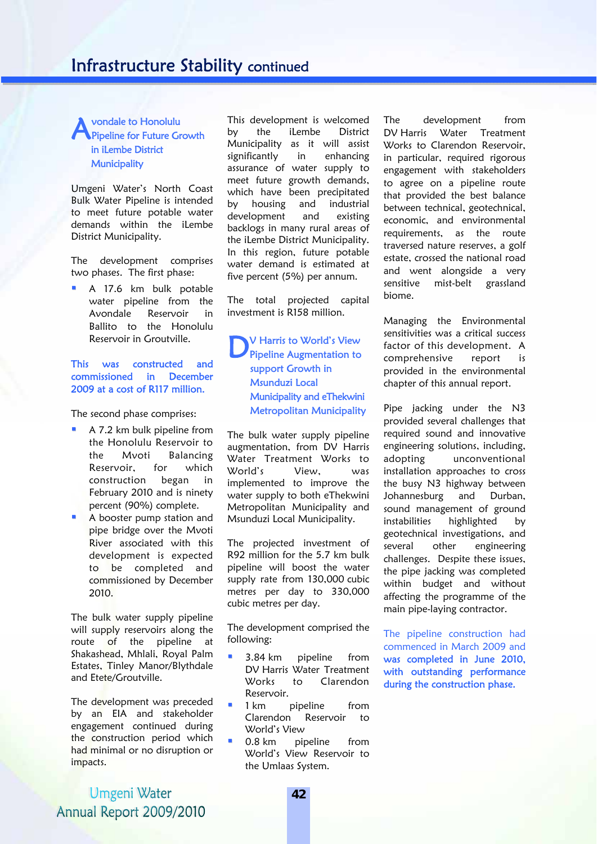#### vondale to Honolulu Pipeline for Future Growth in iLembe District **Municipality** A

Umgeni Water's North Coast Bulk Water Pipeline is intended to meet future potable water demands within the iLembe District Municipality.

The development comprises two phases. The first phase:

 A 17.6 km bulk potable water pipeline from the Avondale Reservoir in Ballito to the Honolulu Reservoir in Groutville.

#### This was constructed and commissioned in December 2009 at a cost of R117 million.

The second phase comprises:

- A 7.2 km bulk pipeline from the Honolulu Reservoir to the Mvoti Balancing Reservoir, for which construction began in February 2010 and is ninety percent (90%) complete.
- A booster pump station and pipe bridge over the Mvoti River associated with this development is expected to be completed and commissioned by December 2010.

The bulk water supply pipeline will supply reservoirs along the route of the pipeline at Shakashead, Mhlali, Royal Palm Estates, Tinley Manor/Blythdale and Etete/Groutville.

The development was preceded by an EIA and stakeholder engagement continued during the construction period which had minimal or no disruption or impacts.

This development is welcomed by the iLembe District Municipality as it will assist significantly in enhancing assurance of water supply to meet future growth demands, which have been precipitated by housing and industrial development and existing backlogs in many rural areas of the iLembe District Municipality. In this region, future potable water demand is estimated at five percent (5%) per annum.

The total projected capital investment is R158 million.

V Harris to World's View Pipeline Augmentation to support Growth in Msunduzi Local Municipality and eThekwini Metropolitan Municipality  $D_{\text{pi}}^{\text{v}}$ 

The bulk water supply pipeline augmentation, from DV Harris Water Treatment Works to World's View, was implemented to improve the water supply to both eThekwini Metropolitan Municipality and Msunduzi Local Municipality.

The projected investment of R92 million for the 5.7 km bulk pipeline will boost the water supply rate from 130,000 cubic metres per day to 330,000 cubic metres per day.

The development comprised the following:

- 3.84 km pipeline from DV Harris Water Treatment Works to Clarendon Reservoir.
- **1** 1 km pipeline from Clarendon Reservoir to World's View
- 0.8 km pipeline from World's View Reservoir to the Umlaas System.

The development from DV Harris Water Treatment Works to Clarendon Reservoir, in particular, required rigorous engagement with stakeholders to agree on a pipeline route that provided the best balance between technical, geotechnical, economic, and environmental requirements, as the route traversed nature reserves, a golf estate, crossed the national road and went alongside a very sensitive mist-belt grassland biome.

Managing the Environmental sensitivities was a critical success factor of this development. A comprehensive report is provided in the environmental chapter of this annual report.

Pipe jacking under the N3 provided several challenges that required sound and innovative engineering solutions, including, adopting unconventional installation approaches to cross the busy N3 highway between Johannesburg and Durban, sound management of ground instabilities highlighted by geotechnical investigations, and several other engineering challenges. Despite these issues, the pipe jacking was completed within budget and without affecting the programme of the main pipe-laying contractor.

The pipeline construction had commenced in March 2009 and was completed in June 2010, with outstanding performance during the construction phase.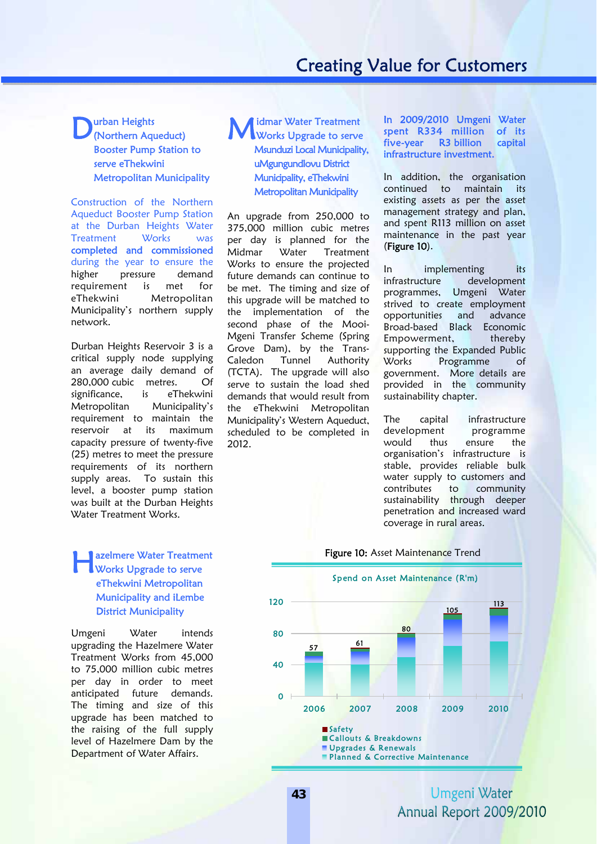## Creating Value for Customers

### **D**urban Heights<br>
(Northern Aqu (Northern Aqueduct) Booster Pump Station to serve eThekwini Metropolitan Municipality

Construction of the Northern Aqueduct Booster Pump Station at the Durban Heights Water Treatment Works was completed and commissioned during the year to ensure the higher pressure demand requirement is met for eThekwini Metropolitan Municipality's northern supply network.

Durban Heights Reservoir 3 is a critical supply node supplying an average daily demand of 280,000 cubic metres. Of significance, is eThekwini Metropolitan Municipality's requirement to maintain the reservoir at its maximum capacity pressure of twenty-five (25) metres to meet the pressure requirements of its northern supply areas. To sustain this level, a booster pump station was built at the Durban Heights Water Treatment Works.

#### **Lazelmere Water Treatment<br>Works Upgrade to serve** Works Upgrade to serve eThekwini Metropolitan Municipality and iLembe District Municipality

Umgeni Water intends upgrading the Hazelmere Water Treatment Works from 45,000 to 75,000 million cubic metres per day in order to meet anticipated future demands. The timing and size of this upgrade has been matched to the raising of the full supply level of Hazelmere Dam by the Department of Water Affairs.



An upgrade from 250,000 to 375,000 million cubic metres per day is planned for the Midmar Water Treatment Works to ensure the projected future demands can continue to be met. The timing and size of this upgrade will be matched to the implementation of the second phase of the Mooi-Mgeni Transfer Scheme (Spring Grove Dam), by the Trans-Caledon Tunnel Authority (TCTA). The upgrade will also serve to sustain the load shed demands that would result from the eThekwini Metropolitan Municipality's Western Aqueduct, scheduled to be completed in 2012.

In 2009/2010 Umgeni Water spent R334 million of its five-year R3 billion capital infrastructure investment.

In addition, the organisation continued to maintain its existing assets as per the asset management strategy and plan, and spent R113 million on asset maintenance in the past year (Figure 10).

In implementing its infrastructure development programmes, Umgeni Water strived to create employment opportunities and advance Broad-based Black Economic Empowerment, thereby supporting the Expanded Public Works Programme of government. More details are provided in the community sustainability chapter.

The capital infrastructure development programme would thus ensure the organisation's infrastructure is stable, provides reliable bulk water supply to customers and contributes to community sustainability through deeper penetration and increased ward coverage in rural areas.

#### $\overline{\phantom{a}}$ Figure 10: Asset Maintenance Trend

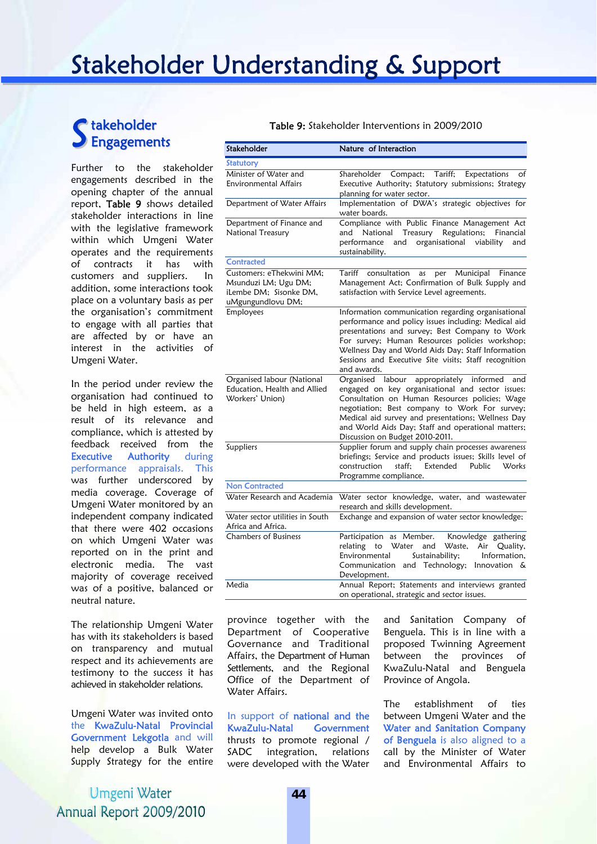## Stakeholder Understanding & Support

## takeholder Engagements

Further to the stakeholder engagements described in the opening chapter of the annual report, Table 9 shows detailed stakeholder interactions in line with the legislative framework within which Umgeni Water operates and the requirements of contracts it has with customers and suppliers. In addition, some interactions took place on a voluntary basis as per the organisation's commitment to engage with all parties that are affected by or have an interest in the activities of Umgeni Water.

In the period under review the organisation had continued to be held in high esteem, as a result of its relevance and compliance, which is attested by feedback received from the **Executive Authority** during performance appraisals. This was further underscored by media coverage. Coverage of Umgeni Water monitored by an independent company indicated that there were 402 occasions on which Umgeni Water was reported on in the print and electronic media. The vast majority of coverage received was of a positive, balanced or neutral nature.

The relationship Umgeni Water has with its stakeholders is based on transparency and mutual respect and its achievements are testimony to the success it has achieved in stakeholder relations.

Umgeni Water was invited onto the KwaZulu-Natal Provincial Government Lekgotla and will help develop a Bulk Water Supply Strategy for the entire

Umgeni Water Annual Report 2009/2010

#### Table 9: Stakeholder Interventions in 2009/2010

| Stakeholder                                                                                     | Nature of Interaction                                                                                                                                                                                                                                                                                                                             |  |  |
|-------------------------------------------------------------------------------------------------|---------------------------------------------------------------------------------------------------------------------------------------------------------------------------------------------------------------------------------------------------------------------------------------------------------------------------------------------------|--|--|
| <b>Statutory</b>                                                                                |                                                                                                                                                                                                                                                                                                                                                   |  |  |
| Minister of Water and<br><b>Environmental Affairs</b>                                           | Compact;<br>Tariff;<br>Shareholder<br>Expectations<br>of<br>Executive Authority; Statutory submissions; Strategy<br>planning for water sector.                                                                                                                                                                                                    |  |  |
| Department of Water Affairs                                                                     | Implementation of DWA's strategic objectives for<br>water boards.                                                                                                                                                                                                                                                                                 |  |  |
| Department of Finance and<br>National Treasury                                                  | Compliance with Public Finance Management Act<br>National<br>Treasury Regulations;<br>Financial<br>and<br>and organisational viability<br>performance<br>and<br>sustainability.                                                                                                                                                                   |  |  |
| <b>Contracted</b>                                                                               |                                                                                                                                                                                                                                                                                                                                                   |  |  |
| Customers: eThekwini MM;<br>Msunduzi LM; Ugu DM;<br>iLembe DM; Sisonke DM,<br>uMgungundlovu DM; | Municipal<br>Tariff<br>consultation<br>per<br>Finance<br>as<br>Management Act; Confirmation of Bulk Supply and<br>satisfaction with Service Level agreements.                                                                                                                                                                                     |  |  |
| Employees                                                                                       | Information communication regarding organisational<br>performance and policy issues including: Medical aid<br>presentations and survey; Best Company to Work<br>For survey; Human Resources policies workshop;<br>Wellness Day and World Aids Day; Staff Information<br>Sessions and Executive Site visits; Staff recognition<br>and awards.      |  |  |
| Organised labour (National<br>Education, Health and Allied<br>Workers' Union)                   | Organised labour appropriately informed and<br>engaged on key organisational and sector issues:<br>Consultation on Human Resources policies; Wage<br>negotiation; Best company to Work For survey;<br>Medical aid survey and presentations; Wellness Day<br>and World Aids Day; Staff and operational matters;<br>Discussion on Budget 2010-2011. |  |  |
| Suppliers<br><b>Non Contracted</b>                                                              | Supplier forum and supply chain processes awareness<br>briefings; Service and products issues; Skills level of<br>construction<br>staff:<br>Extended<br>Public<br>Works<br>Programme compliance.                                                                                                                                                  |  |  |
| Water Research and Academia                                                                     | Water sector knowledge, water, and wastewater                                                                                                                                                                                                                                                                                                     |  |  |
|                                                                                                 | research and skills development.                                                                                                                                                                                                                                                                                                                  |  |  |
| Water sector utilities in South<br>Africa and Africa.                                           | Exchange and expansion of water sector knowledge;                                                                                                                                                                                                                                                                                                 |  |  |
| <b>Chambers of Business</b>                                                                     | Participation as Member.<br>Knowledge gathering<br>relating<br>Water<br>Quality,<br>and<br>Waste,<br>Air<br>to<br>Sustainability;<br>Information,<br>Environmental<br>Communication and Technology; Innovation &<br>Development.                                                                                                                  |  |  |
| Media                                                                                           | Annual Report; Statements and interviews granted<br>on operational, strategic and sector issues.                                                                                                                                                                                                                                                  |  |  |

province together with the Department of Cooperative Governance and Traditional Affairs, the Department of Human Settlements, and the Regional Office of the Department of Water Affairs.

In support of national and the KwaZulu-Natal Government thrusts to promote regional / SADC integration, relations were developed with the Water

and Sanitation Company of Benguela. This is in line with a proposed Twinning Agreement between the provinces of KwaZulu-Natal and Benguela Province of Angola.

The establishment of ties between Umgeni Water and the Water and Sanitation Company of Benguela is also aligned to a call by the Minister of Water and Environmental Affairs to